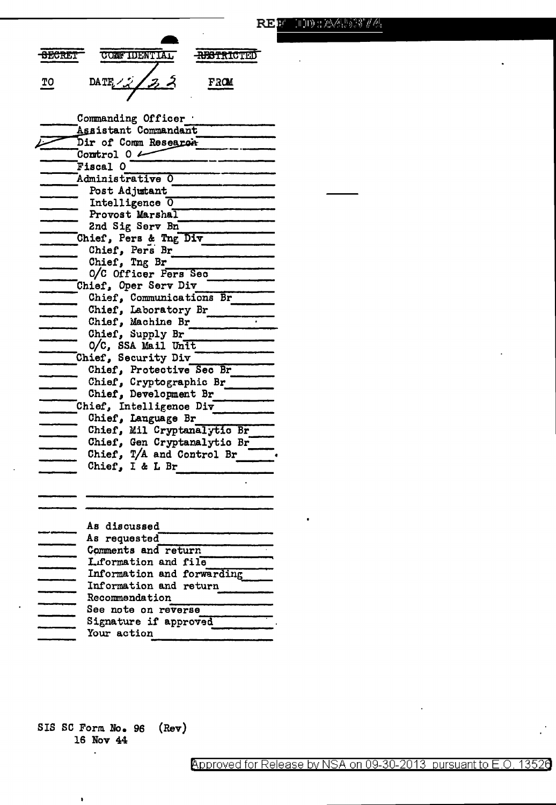| <b>SECRET</b> | <b>CONFIDENTIAL</b> | <b>ABSTRICTED</b> |  |
|---------------|---------------------|-------------------|--|
| ጥጠ            | DATE / $22$         | F3ON              |  |

Commanding Officer . Assistant Commandant Dir of Comm Research Control  $0 \longleftarrow$ Fiscal O Administrative O Post Adjutant Intelligence 0 Provost Marshal 2nd Sig Serv Bn Chief, Pers & Tng Div Chief, Pers Br Chief, Tng Br O/C Officer Fers Sec Chief, Oper Serv Div Chief, Communications Br Chief, Laboratory Br Chief, Machine Br Chief, Supply Br  $0/C$ , SSA Mail Unit Chief, Security Div Chief, Protective Sec Br Chief, Cryptographic Br Chief, Development Br Chief, Intelligence Div Chief, Language Br Chief, Mil Cryptanalytic Br Chief, Gen Cryptanalytic Br Chief,  $T/A$  and Control Br Chief, I & L Br As discussed **11111111** 

| As requested               |  |
|----------------------------|--|
| Comments and return        |  |
| L.formation and file       |  |
| Information and forwarding |  |
| Information and return     |  |
| Recommendation             |  |
| See note on reverse        |  |
| Signature if approved      |  |
| Your action                |  |
|                            |  |

SIS SC Form No. 96  $(\text{Rev})$ 16 Nov 44